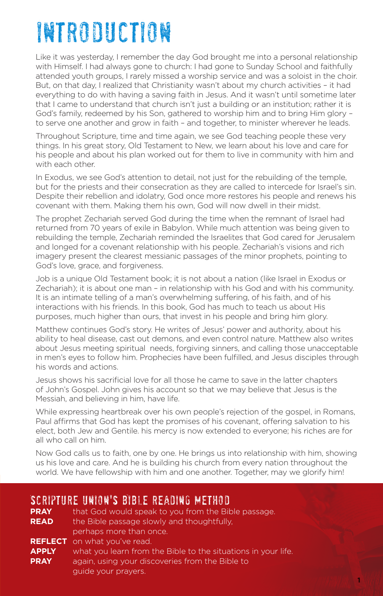# introduction

Like it was yesterday, I remember the day God brought me into a personal relationship with Himself. I had always gone to church: I had gone to Sunday School and faithfully attended youth groups, I rarely missed a worship service and was a soloist in the choir. But, on that day, I realized that Christianity wasn't about my church activities – it had everything to do with having a saving faith in Jesus. And it wasn't until sometime later that I came to understand that church isn't just a building or an institution; rather it is God's family, redeemed by his Son, gathered to worship him and to bring Him glory – to serve one another and grow in faith – and together, to minister wherever he leads.

Throughout Scripture, time and time again, we see God teaching people these very things. In his great story, Old Testament to New, we learn about his love and care for his people and about his plan worked out for them to live in community with him and with each other.

In Exodus, we see God's attention to detail, not just for the rebuilding of the temple, but for the priests and their consecration as they are called to intercede for Israel's sin. Despite their rebellion and idolatry, God once more restores his people and renews his covenant with them. Making them his own, God will now dwell in their midst.

The prophet Zechariah served God during the time when the remnant of Israel had returned from 70 years of exile in Babylon. While much attention was being given to rebuilding the temple, Zechariah reminded the Israelites that God cared for Jerusalem and longed for a covenant relationship with his people. Zechariah's visions and rich imagery present the clearest messianic passages of the minor prophets, pointing to God's love, grace, and forgiveness.

Job is a unique Old Testament book; it is not about a nation (like Israel in Exodus or Zechariah); it is about one man – in relationship with his God and with his community. It is an intimate telling of a man's overwhelming suffering, of his faith, and of his interactions with his friends. In this book, God has much to teach us about His purposes, much higher than ours, that invest in his people and bring him glory.

Matthew continues God's story. He writes of Jesus' power and authority, about his ability to heal disease, cast out demons, and even control nature. Matthew also writes about Jesus meeting spiritual needs, forgiving sinners, and calling those unacceptable in men's eyes to follow him. Prophecies have been fulfilled, and Jesus disciples through his words and actions.

Jesus shows his sacrificial love for all those he came to save in the latter chapters of John's Gospel. John gives his account so that we may believe that Jesus is the Messiah, and believing in him, have life.

While expressing heartbreak over his own people's rejection of the gospel, in Romans, Paul affirms that God has kept the promises of his covenant, offering salvation to his elect, both Jew and Gentile. his mercy is now extended to everyone; his riches are for all who call on him.

Now God calls us to faith, one by one. He brings us into relationship with him, showing us his love and care. And he is building his church from every nation throughout the world. We have fellowship with him and one another. Together, may we glorify him!

#### Scripture Union's Bible Reading Method

| <b>PRAY</b>  | that God would speak to you from the Bible passage.           |
|--------------|---------------------------------------------------------------|
| <b>READ</b>  | the Bible passage slowly and thoughtfully.                    |
|              | perhaps more than once.                                       |
|              | <b>REFLECT</b> on what you've read.                           |
| <b>APPLY</b> | what you learn from the Bible to the situations in your life. |
| <b>PRAY</b>  | again, using your discoveries from the Bible to               |
|              | guide your prayers.                                           |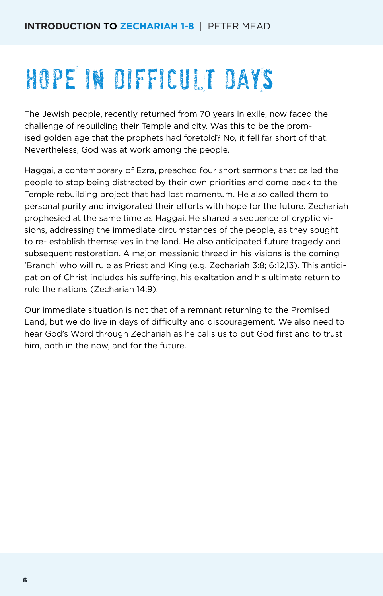# HOPE IN DIFFICULT DAYS

The Jewish people, recently returned from 70 years in exile, now faced the challenge of rebuilding their Temple and city. Was this to be the promised golden age that the prophets had foretold? No, it fell far short of that. Nevertheless, God was at work among the people.

Haggai, a contemporary of Ezra, preached four short sermons that called the people to stop being distracted by their own priorities and come back to the Temple rebuilding project that had lost momentum. He also called them to personal purity and invigorated their efforts with hope for the future. Zechariah prophesied at the same time as Haggai. He shared a sequence of cryptic visions, addressing the immediate circumstances of the people, as they sought to re- establish themselves in the land. He also anticipated future tragedy and subsequent restoration. A major, messianic thread in his visions is the coming 'Branch' who will rule as Priest and King (e.g. Zechariah 3:8; 6:12,13). This anticipation of Christ includes his suffering, his exaltation and his ultimate return to rule the nations (Zechariah 14:9).

Our immediate situation is not that of a remnant returning to the Promised Land, but we do live in days of difficulty and discouragement. We also need to hear God's Word through Zechariah as he calls us to put God first and to trust him, both in the now, and for the future.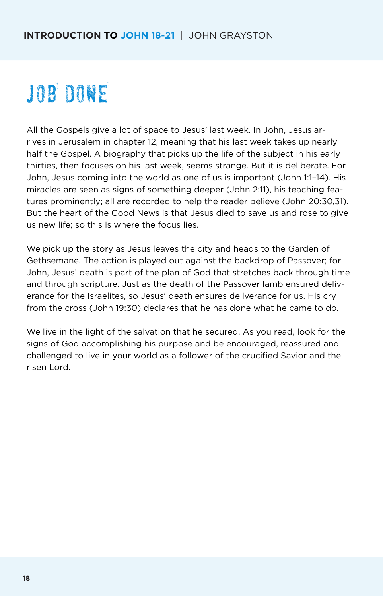# JOB DONE

All the Gospels give a lot of space to Jesus' last week. In John, Jesus arrives in Jerusalem in chapter 12, meaning that his last week takes up nearly half the Gospel. A biography that picks up the life of the subject in his early thirties, then focuses on his last week, seems strange. But it is deliberate. For John, Jesus coming into the world as one of us is important (John 1:1–14). His miracles are seen as signs of something deeper (John 2:11), his teaching features prominently; all are recorded to help the reader believe (John 20:30,31). But the heart of the Good News is that Jesus died to save us and rose to give us new life; so this is where the focus lies.

We pick up the story as Jesus leaves the city and heads to the Garden of Gethsemane. The action is played out against the backdrop of Passover; for John, Jesus' death is part of the plan of God that stretches back through time and through scripture. Just as the death of the Passover lamb ensured deliverance for the Israelites, so Jesus' death ensures deliverance for us. His cry from the cross (John 19:30) declares that he has done what he came to do.

We live in the light of the salvation that he secured. As you read, look for the signs of God accomplishing his purpose and be encouraged, reassured and challenged to live in your world as a follower of the crucified Savior and the risen Lord.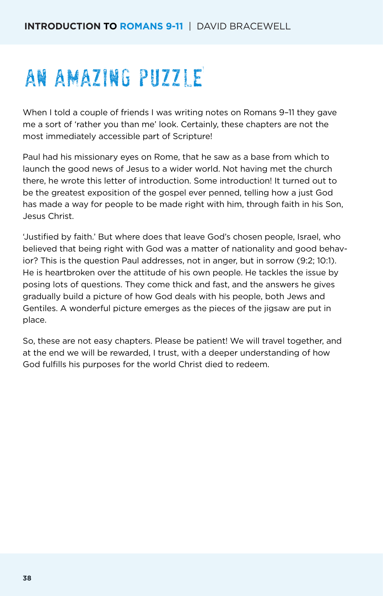### AN AMAZING PUZZLE

When I told a couple of friends I was writing notes on Romans 9–11 they gave me a sort of 'rather you than me' look. Certainly, these chapters are not the most immediately accessible part of Scripture!

Paul had his missionary eyes on Rome, that he saw as a base from which to launch the good news of Jesus to a wider world. Not having met the church there, he wrote this letter of introduction. Some introduction! It turned out to be the greatest exposition of the gospel ever penned, telling how a just God has made a way for people to be made right with him, through faith in his Son, Jesus Christ.

'Justified by faith.' But where does that leave God's chosen people, Israel, who believed that being right with God was a matter of nationality and good behavior? This is the question Paul addresses, not in anger, but in sorrow (9:2; 10:1). He is heartbroken over the attitude of his own people. He tackles the issue by posing lots of questions. They come thick and fast, and the answers he gives gradually build a picture of how God deals with his people, both Jews and Gentiles. A wonderful picture emerges as the pieces of the jigsaw are put in place.

So, these are not easy chapters. Please be patient! We will travel together, and at the end we will be rewarded, I trust, with a deeper understanding of how God fulfills his purposes for the world Christ died to redeem.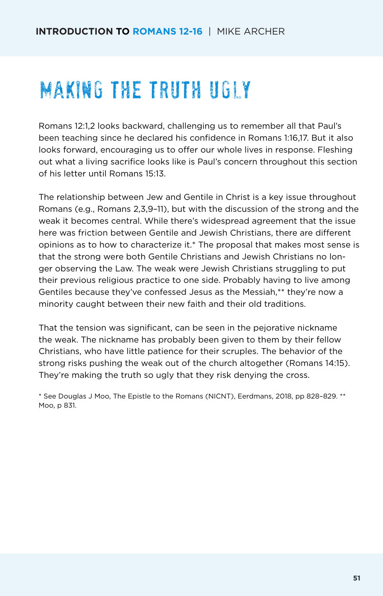### Making the truth ugly

Romans 12:1,2 looks backward, challenging us to remember all that Paul's been teaching since he declared his confidence in Romans 1:16,17. But it also looks forward, encouraging us to offer our whole lives in response. Fleshing out what a living sacrifice looks like is Paul's concern throughout this section of his letter until Romans 15:13.

The relationship between Jew and Gentile in Christ is a key issue throughout Romans (e.g., Romans 2,3,9–11), but with the discussion of the strong and the weak it becomes central. While there's widespread agreement that the issue here was friction between Gentile and Jewish Christians, there are different opinions as to how to characterize it.\* The proposal that makes most sense is that the strong were both Gentile Christians and Jewish Christians no longer observing the Law. The weak were Jewish Christians struggling to put their previous religious practice to one side. Probably having to live among Gentiles because they've confessed Jesus as the Messiah,\*\* they're now a minority caught between their new faith and their old traditions.

That the tension was significant, can be seen in the pejorative nickname the weak. The nickname has probably been given to them by their fellow Christians, who have little patience for their scruples. The behavior of the strong risks pushing the weak out of the church altogether (Romans 14:15). They're making the truth so ugly that they risk denying the cross.

\* See Douglas J Moo, The Epistle to the Romans (NICNT), Eerdmans, 2018, pp 828–829. \*\* Moo, p 831.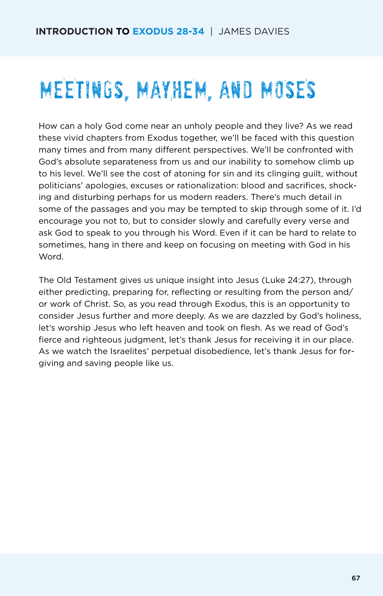# MEETINGs, MAYHEM, AND MOSES

How can a holy God come near an unholy people and they live? As we read these vivid chapters from Exodus together, we'll be faced with this question many times and from many different perspectives. We'll be confronted with God's absolute separateness from us and our inability to somehow climb up to his level. We'll see the cost of atoning for sin and its clinging guilt, without politicians' apologies, excuses or rationalization: blood and sacrifices, shocking and disturbing perhaps for us modern readers. There's much detail in some of the passages and you may be tempted to skip through some of it. I'd encourage you not to, but to consider slowly and carefully every verse and ask God to speak to you through his Word. Even if it can be hard to relate to sometimes, hang in there and keep on focusing on meeting with God in his Word.

The Old Testament gives us unique insight into Jesus (Luke 24:27), through either predicting, preparing for, reflecting or resulting from the person and/ or work of Christ. So, as you read through Exodus, this is an opportunity to consider Jesus further and more deeply. As we are dazzled by God's holiness, let's worship Jesus who left heaven and took on flesh. As we read of God's fierce and righteous judgment, let's thank Jesus for receiving it in our place. As we watch the Israelites' perpetual disobedience, let's thank Jesus for forgiving and saving people like us.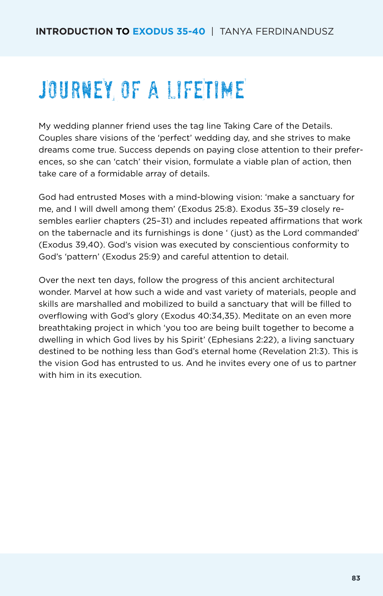## JOURNEY OF A LIFETIME

My wedding planner friend uses the tag line Taking Care of the Details. Couples share visions of the 'perfect' wedding day, and she strives to make dreams come true. Success depends on paying close attention to their preferences, so she can 'catch' their vision, formulate a viable plan of action, then take care of a formidable array of details.

God had entrusted Moses with a mind-blowing vision: 'make a sanctuary for me, and I will dwell among them' (Exodus 25:8). Exodus 35–39 closely resembles earlier chapters (25–31) and includes repeated affirmations that work on the tabernacle and its furnishings is done ' (just) as the Lord commanded' (Exodus 39,40). God's vision was executed by conscientious conformity to God's 'pattern' (Exodus 25:9) and careful attention to detail.

Over the next ten days, follow the progress of this ancient architectural wonder. Marvel at how such a wide and vast variety of materials, people and skills are marshalled and mobilized to build a sanctuary that will be filled to overflowing with God's glory (Exodus 40:34,35). Meditate on an even more breathtaking project in which 'you too are being built together to become a dwelling in which God lives by his Spirit' (Ephesians 2:22), a living sanctuary destined to be nothing less than God's eternal home (Revelation 21:3). This is the vision God has entrusted to us. And he invites every one of us to partner with him in its execution.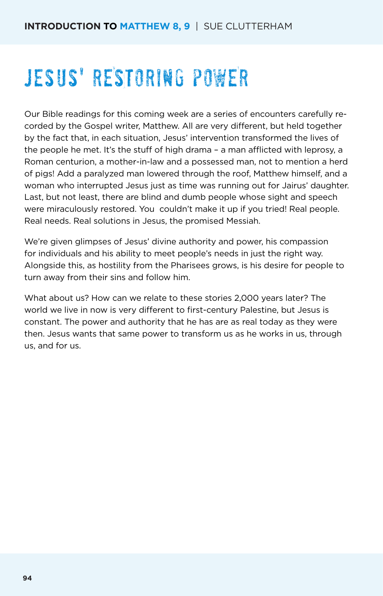# jesus' RESTORING POWER

Our Bible readings for this coming week are a series of encounters carefully recorded by the Gospel writer, Matthew. All are very different, but held together by the fact that, in each situation, Jesus' intervention transformed the lives of the people he met. It's the stuff of high drama – a man afflicted with leprosy, a Roman centurion, a mother-in-law and a possessed man, not to mention a herd of pigs! Add a paralyzed man lowered through the roof, Matthew himself, and a woman who interrupted Jesus just as time was running out for Jairus' daughter. Last, but not least, there are blind and dumb people whose sight and speech were miraculously restored. You couldn't make it up if you tried! Real people. Real needs. Real solutions in Jesus, the promised Messiah.

We're given glimpses of Jesus' divine authority and power, his compassion for individuals and his ability to meet people's needs in just the right way. Alongside this, as hostility from the Pharisees grows, is his desire for people to turn away from their sins and follow him.

What about us? How can we relate to these stories 2,000 years later? The world we live in now is very different to first-century Palestine, but Jesus is constant. The power and authority that he has are as real today as they were then. Jesus wants that same power to transform us as he works in us, through us, and for us.